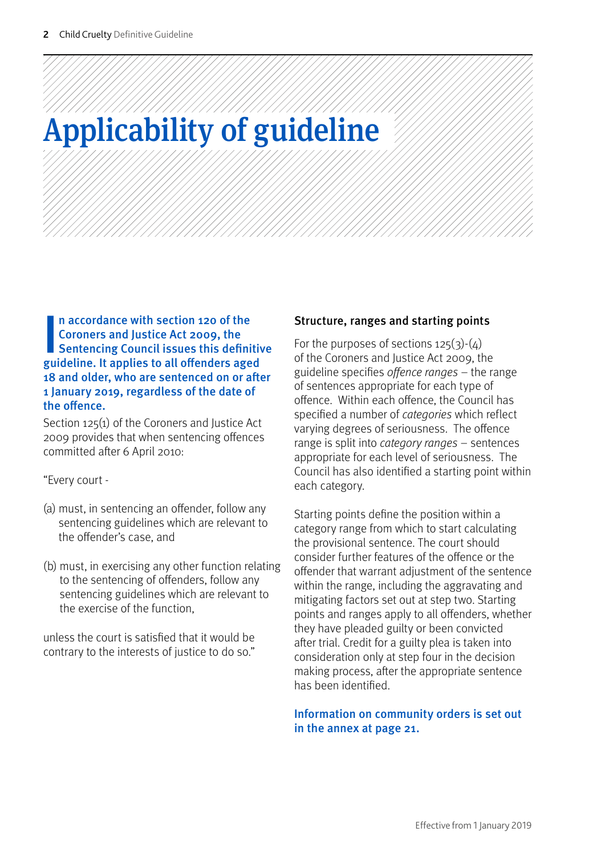For reference only. Please refer to the guideline(s) icitwebsite: www.sentencingcouncil.org.uk

## Applicability of guideline

In accordance with section 120 of the<br>Coroners and Justice Act 2009, the<br>Sentencing Council issues this definitiv<br>guideline. It applies to all offenders aged n accordance with section 120 of the Coroners and Justice Act 2009, the Sentencing Council issues this definitive 18 and older, who are sentenced on or after 1 January 2019, regardless of the date of the offence.

Section 125(1) of the Coroners and Justice Act 2009 provides that when sentencing offences committed after 6 April 2010:

"Every court -

- (a) must, in sentencing an offender, follow any sentencing guidelines which are relevant to the offender's case, and
- (b) must, in exercising any other function relating to the sentencing of offenders, follow any sentencing guidelines which are relevant to the exercise of the function,

unless the court is satisfied that it would be contrary to the interests of justice to do so."

## Structure, ranges and starting points

For the purposes of sections  $125(3)-(4)$ of the Coroners and Justice Act 2009, the guideline specifies offence ranges – the range of sentences appropriate for each type of offence. Within each offence, the Council has specified a number of *categories* which reflect varying degrees of seriousness. The offence range is split into *category ranges* – sentences appropriate for each level of seriousness. The Council has also identified a starting point within each category.

Starting points define the position within a category range from which to start calculating the provisional sentence. The court should consider further features of the offence or the offender that warrant adjustment of the sentence within the range, including the aggravating and mitigating factors set out at step two. Starting points and ranges apply to all offenders, whether they have pleaded guilty or been convicted after trial. Credit for a guilty plea is taken into consideration only at step four in the decision making process, after the appropriate sentence has been identified.

Information on community orders is set out in the annex at page 21.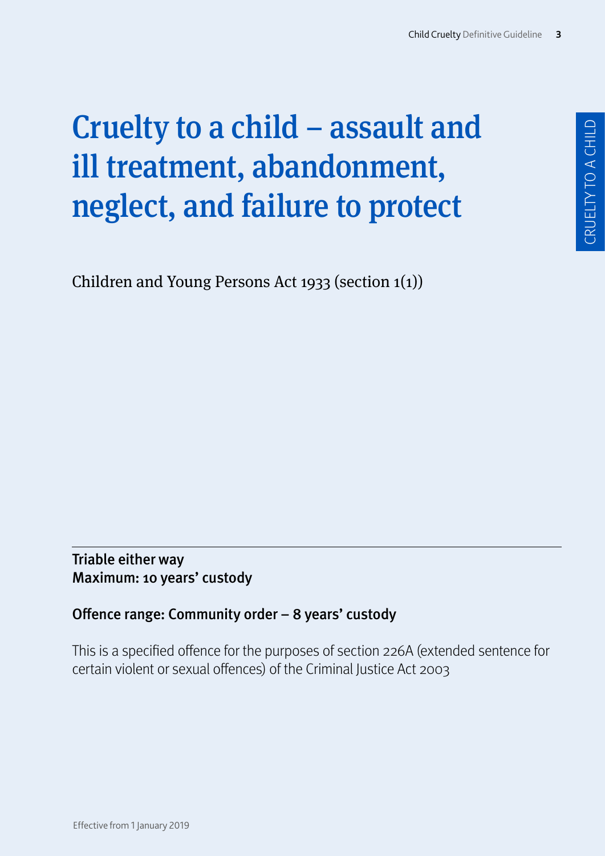Coroners and fistice Act 2009, the guideline Tapplies to all oenders aged 18 and older, who are sentenced on or aer 1 anuary 2019, regardless of the date of the oence<sup>[]</sup>

n accordance with section 120 of the